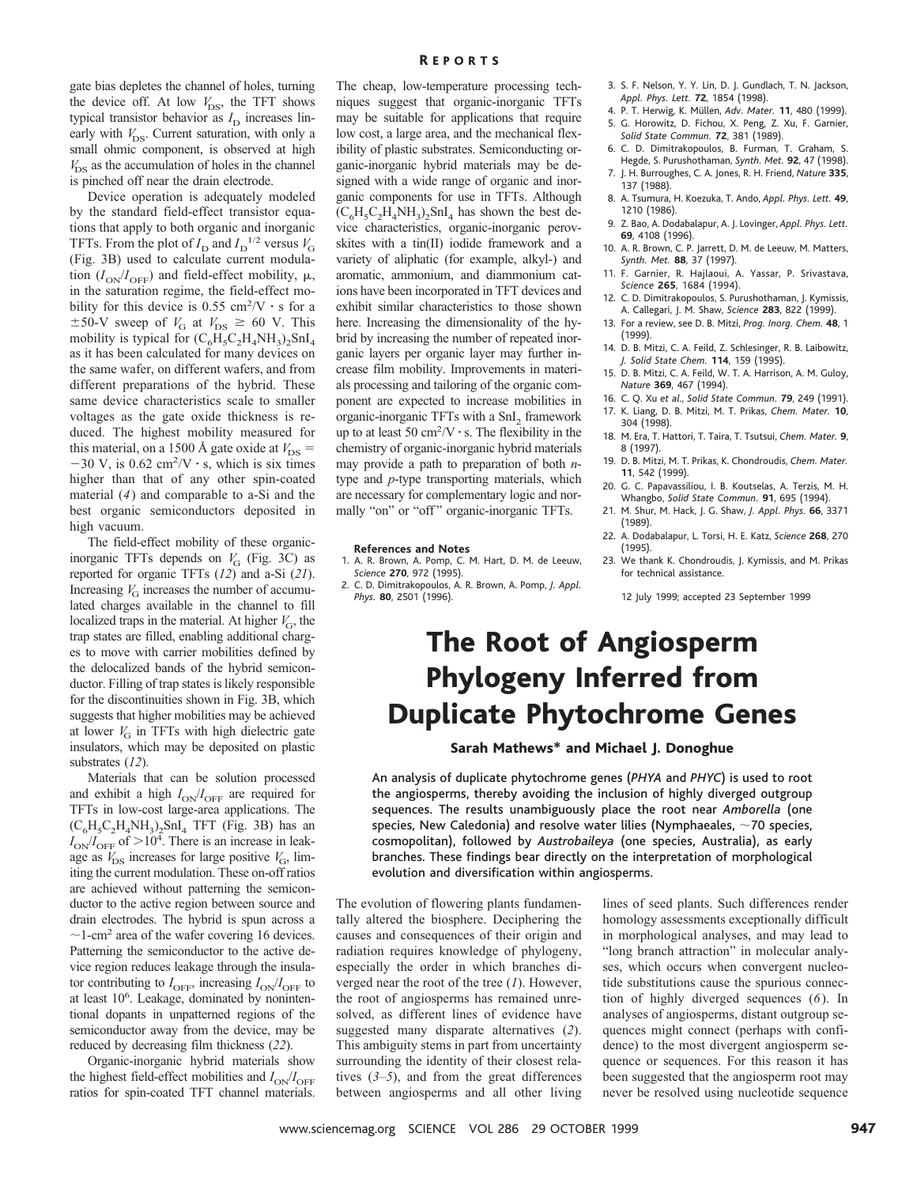gate bias depletes the channel of holes, turning the device off. At low  $V_{DS}$ , the TFT shows typical transistor behavior as  $I_D$  increases linearly with  $V_{DS}$ . Current saturation, with only a small ohmic component, is observed at high  $V_{DS}$  as the accumulation of holes in the channel is pinched off near the drain electrode.

Device operation is adequately modeled by the standard field-effect transistor equations that apply to both organic and inorganic TFTs. From the plot of  $I_D$  and  $I_D$ <sup>1/2</sup> versus  $V_G$ (Fig. 3B) used to calculate current modulation  $(I_{ON}/I_{OFF})$  and field-effect mobility,  $\mu$ , in the saturation regime, the field-effect mobility for this device is  $0.55 \text{ cm}^2/\text{V} \cdot \text{s}$  for a  $\pm$ 50-V sweep of  $V_G$  at  $V_{DS} \geq 60$  V. This mobility is typical for  $(C_6\widetilde{H}_5C_2H_4NH_3)_2SnI_4$ as it has been calculated for many devices on the same wafer, on different wafers, and from different preparations of the hybrid. These same device characteristics scale to smaller voltages as the gate oxide thickness is reduced. The highest mobility measured for this material, on a 1500 Å gate oxide at  $V_{DS}$  =  $-30$  V, is 0.62 cm<sup>2</sup>/V · s, which is six times higher than that of any other spin-coated material (*4*) and comparable to a-Si and the best organic semiconductors deposited in high vacuum.

The field-effect mobility of these organicinorganic TFTs depends on  $V<sub>G</sub>$  (Fig. 3C) as reported for organic TFTs (*12*) and a-Si (*21*). Increasing  $V<sub>G</sub>$  increases the number of accumulated charges available in the channel to fill localized traps in the material. At higher  $V<sub>G</sub>$ , the trap states are filled, enabling additional charges to move with carrier mobilities defined by the delocalized bands of the hybrid semiconductor. Filling of trap states is likely responsible for the discontinuities shown in Fig. 3B, which suggests that higher mobilities may be achieved at lower  $V<sub>G</sub>$  in TFTs with high dielectric gate insulators, which may be deposited on plastic substrates (*12*).

Materials that can be solution processed and exhibit a high  $I_{ON}/I_{OFF}$  are required for TFTs in low-cost large-area applications. The  $(C_6H_5C_2H_4NH_3)$ , SnI<sub>4</sub> TFT (Fig. 3B) has an  $I_{\text{ON}}/I_{\text{OFF}}$  of  $>10^4$ . There is an increase in leakage as  $V_{DS}$  increases for large positive  $V_{GS}$ , limiting the current modulation. These on-off ratios are achieved without patterning the semiconductor to the active region between source and drain electrodes. The hybrid is spun across a  $\sim$ 1-cm<sup>2</sup> area of the wafer covering 16 devices. Patterning the semiconductor to the active device region reduces leakage through the insulator contributing to  $I_{\text{OFF}}$ , increasing  $I_{\text{ON}}/I_{\text{OFF}}$  to at least 10<sup>6</sup>. Leakage, dominated by nonintentional dopants in unpatterned regions of the semiconductor away from the device, may be reduced by decreasing film thickness (*22*).

Organic-inorganic hybrid materials show the highest field-effect mobilities and  $I_{ON}/I_{OFF}$ ratios for spin-coated TFT channel materials. The cheap, low-temperature processing techniques suggest that organic-inorganic TFTs may be suitable for applications that require low cost, a large area, and the mechanical flexibility of plastic substrates. Semiconducting organic-inorganic hybrid materials may be designed with a wide range of organic and inorganic components for use in TFTs. Although  $(C_6H_5C_2H_4NH_3)$ <sub>2</sub>SnI<sub>4</sub> has shown the best device characteristics, organic-inorganic perovskites with a tin(II) iodide framework and a variety of aliphatic (for example, alkyl-) and aromatic, ammonium, and diammonium cations have been incorporated in TFT devices and exhibit similar characteristics to those shown here. Increasing the dimensionality of the hybrid by increasing the number of repeated inorganic layers per organic layer may further increase film mobility. Improvements in materials processing and tailoring of the organic component are expected to increase mobilities in organic-inorganic TFTs with a SnI<sub>2</sub> framework up to at least 50 cm<sup>2</sup>/V  $\cdot$  s. The flexibility in the chemistry of organic-inorganic hybrid materials may provide a path to preparation of both *n*type and *p*-type transporting materials, which are necessary for complementary logic and normally "on" or "off" organic-inorganic TFTs.

#### **References and Notes**

- 1. A. R. Brown, A. Pomp, C. M. Hart, D. M. de Leeuw, *Science* **270**, 972 (1995).
- 2. C. D. Dimitrakopoulos, A. R. Brown, A. Pomp, *J. Appl. Phys.* **80**, 2501 (1996).
- 3. S. F. Nelson, Y. Y. Lin, D. J. Gundlach, T. N. Jackson, *Appl. Phys. Lett.* **72**, 1854 (1998).
- 4. P. T. Herwig, K. Müllen, Adv. Mater. 11, 480 (1999). 5. G. Horowitz, D. Fichou, X. Peng, Z. Xu, F. Garnier,
- *Solid State Commun.* **72**, 381 (1989). 6. C. D. Dimitrakopoulos, B. Furman, T. Graham, S.
- Hegde, S. Purushothaman, *Synth. Met.* **92**, 47 (1998). 7. J. H. Burroughes, C. A. Jones, R. H. Friend, *Nature* **335**,
- 137 (1988). 8. A. Tsumura, H. Koezuka, T. Ando, *Appl. Phys. Lett.* **49**,
- 1210 (1986).
- 9. Z. Bao, A. Dodabalapur, A. J. Lovinger, *Appl. Phys. Lett.* **69**, 4108 (1996).
- 10. A. R. Brown, C. P. Jarrett, D. M. de Leeuw, M. Matters, *Synth. Met.* **88**, 37 (1997).
- 11. F. Garnier, R. Hajlaoui, A. Yassar, P. Srivastava, *Science* **265**, 1684 (1994).
- 12. C. D. Dimitrakopoulos, S. Purushothaman, J. Kymissis, A. Callegari, J. M. Shaw, *Science* **283**, 822 (1999).
- 13. For a review, see D. B. Mitzi, *Prog. Inorg. Chem.* **48**, 1 (1999).
- 14. D. B. Mitzi, C. A. Feild, Z. Schlesinger, R. B. Laibowitz, *J. Solid State Chem.* **114**, 159 (1995).
- 15. D. B. Mitzi, C. A. Feild, W. T. A. Harrison, A. M. Guloy, *Nature* **369**, 467 (1994).
- 16. C. Q. Xu *et al*., *Solid State Commun.* **79**, 249 (1991).
- 17. K. Liang, D. B. Mitzi, M. T. Prikas, *Chem. Mater.* **10**, 304 (1998).
- 18. M. Era, T. Hattori, T. Taira, T. Tsutsui, *Chem. Mater.* **9**, 8 (1997).
- 19. D. B. Mitzi, M. T. Prikas, K. Chondroudis, *Chem. Mater.* **11**, 542 (1999).
- 20. G. C. Papavassiliou, I. B. Koutselas, A. Terzis, M. H. Whangbo, *Solid State Commun.* **91**, 695 (1994).
- 21. M. Shur, M. Hack, J. G. Shaw, *J. Appl. Phys.* **66**, 3371 (1989).
- 22. A. Dodabalapur, L. Torsi, H. E. Katz, *Science* **268**, 270 (1995).
- 23. We thank K. Chondroudis, J. Kymissis, and M. Prikas for technical assistance.

12 July 1999; accepted 23 September 1999

## The Root of Angiosperm Phylogeny Inferred from Duplicate Phytochrome Genes

## Sarah Mathews\* and Michael J. Donoghue

An analysis of duplicate phytochrome genes (*PHYA* and *PHYC*) is used to root the angiosperms, thereby avoiding the inclusion of highly diverged outgroup sequences. The results unambiguously place the root near *Amborella* (one species, New Caledonia) and resolve water lilies (Nymphaeales,  $\sim$  70 species, cosmopolitan), followed by *Austrobaileya* (one species, Australia), as early branches. These findings bear directly on the interpretation of morphological evolution and diversification within angiosperms.

The evolution of flowering plants fundamentally altered the biosphere. Deciphering the causes and consequences of their origin and radiation requires knowledge of phylogeny, especially the order in which branches diverged near the root of the tree (*1*). However, the root of angiosperms has remained unresolved, as different lines of evidence have suggested many disparate alternatives (*2*). This ambiguity stems in part from uncertainty surrounding the identity of their closest relatives (*3–5*), and from the great differences between angiosperms and all other living

lines of seed plants. Such differences render homology assessments exceptionally difficult in morphological analyses, and may lead to "long branch attraction" in molecular analyses, which occurs when convergent nucleotide substitutions cause the spurious connection of highly diverged sequences (*6*). In analyses of angiosperms, distant outgroup sequences might connect (perhaps with confidence) to the most divergent angiosperm sequence or sequences. For this reason it has been suggested that the angiosperm root may never be resolved using nucleotide sequence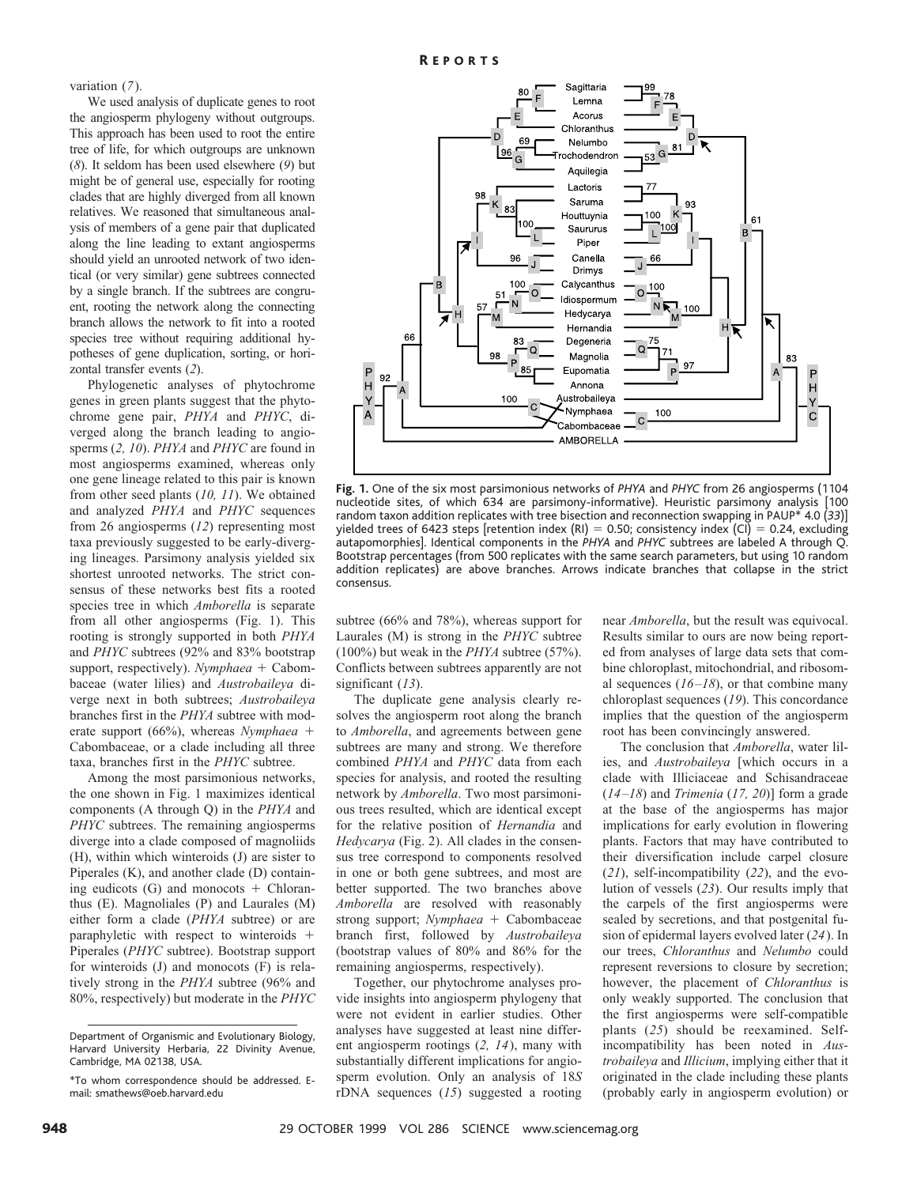variation (*7*).

We used analysis of duplicate genes to root the angiosperm phylogeny without outgroups. This approach has been used to root the entire tree of life, for which outgroups are unknown (*8*). It seldom has been used elsewhere (*9*) but might be of general use, especially for rooting clades that are highly diverged from all known relatives. We reasoned that simultaneous analysis of members of a gene pair that duplicated along the line leading to extant angiosperms should yield an unrooted network of two identical (or very similar) gene subtrees connected by a single branch. If the subtrees are congruent, rooting the network along the connecting branch allows the network to fit into a rooted species tree without requiring additional hypotheses of gene duplication, sorting, or horizontal transfer events (*2*).

Phylogenetic analyses of phytochrome genes in green plants suggest that the phytochrome gene pair, *PHYA* and *PHYC*, diverged along the branch leading to angiosperms (*2, 10*). *PHYA* and *PHYC* are found in most angiosperms examined, whereas only one gene lineage related to this pair is known from other seed plants (*10, 11*). We obtained and analyzed *PHYA* and *PHYC* sequences from 26 angiosperms (*12*) representing most taxa previously suggested to be early-diverging lineages. Parsimony analysis yielded six shortest unrooted networks. The strict consensus of these networks best fits a rooted species tree in which *Amborella* is separate from all other angiosperms (Fig. 1). This rooting is strongly supported in both *PHYA* and *PHYC* subtrees (92% and 83% bootstrap support, respectively). *Nymphaea* + Cabombaceae (water lilies) and *Austrobaileya* diverge next in both subtrees; *Austrobaileya* branches first in the *PHYA* subtree with moderate support  $(66\%)$ , whereas *Nymphaea* + Cabombaceae, or a clade including all three taxa, branches first in the *PHYC* subtree.

Among the most parsimonious networks, the one shown in Fig. 1 maximizes identical components (A through Q) in the *PHYA* and *PHYC* subtrees. The remaining angiosperms diverge into a clade composed of magnoliids (H), within which winteroids (J) are sister to Piperales (K), and another clade (D) containing eudicots  $(G)$  and monocots + Chloranthus (E). Magnoliales (P) and Laurales (M) either form a clade (*PHYA* subtree) or are paraphyletic with respect to winteroids  $+$ Piperales (*PHYC* subtree). Bootstrap support for winteroids (J) and monocots (F) is relatively strong in the *PHYA* subtree (96% and 80%, respectively) but moderate in the *PHYC*



**Fig. 1.** One of the six most parsimonious networks of *PHYA* and *PHYC* from 26 angiosperms (1104 nucleotide sites, of which 634 are parsimony-informative). Heuristic parsimony analysis [100 random taxon addition replicates with tree bisection and reconnection swapping in PAUP\* 4.0 (*33*)] yielded trees of 6423 steps [retention index (RI) = 0.50; consistency index (CI) = 0.24, excluding autapomorphies]. Identical components in the *PHYA* and *PHYC* subtrees are labeled A through Q. Bootstrap percentages (from 500 replicates with the same search parameters, but using 10 random addition replicates) are above branches. Arrows indicate branches that collapse in the strict consensus.

subtree (66% and 78%), whereas support for Laurales (M) is strong in the *PHYC* subtree (100%) but weak in the *PHYA* subtree (57%). Conflicts between subtrees apparently are not significant (*13*).

The duplicate gene analysis clearly resolves the angiosperm root along the branch to *Amborella*, and agreements between gene subtrees are many and strong. We therefore combined *PHYA* and *PHYC* data from each species for analysis, and rooted the resulting network by *Amborella*. Two most parsimonious trees resulted, which are identical except for the relative position of *Hernandia* and *Hedycarya* (Fig. 2). All clades in the consensus tree correspond to components resolved in one or both gene subtrees, and most are better supported. The two branches above *Amborella* are resolved with reasonably strong support; *Nymphaea* + Cabombaceae branch first, followed by *Austrobaileya* (bootstrap values of 80% and 86% for the remaining angiosperms, respectively).

Together, our phytochrome analyses provide insights into angiosperm phylogeny that were not evident in earlier studies. Other analyses have suggested at least nine different angiosperm rootings (*2, 14*), many with substantially different implications for angiosperm evolution. Only an analysis of 18*S* rDNA sequences (*15*) suggested a rooting

near *Amborella*, but the result was equivocal. Results similar to ours are now being reported from analyses of large data sets that combine chloroplast, mitochondrial, and ribosomal sequences (*16–18*), or that combine many chloroplast sequences (*19*). This concordance implies that the question of the angiosperm root has been convincingly answered.

The conclusion that *Amborella*, water lilies, and *Austrobaileya* [which occurs in a clade with Illiciaceae and Schisandraceae (*14–18*) and *Trimenia* (*17, 20*)] form a grade at the base of the angiosperms has major implications for early evolution in flowering plants. Factors that may have contributed to their diversification include carpel closure (*21*), self-incompatibility (*22*), and the evolution of vessels (*23*). Our results imply that the carpels of the first angiosperms were sealed by secretions, and that postgenital fusion of epidermal layers evolved later (*24*). In our trees, *Chloranthus* and *Nelumbo* could represent reversions to closure by secretion; however, the placement of *Chloranthus* is only weakly supported. The conclusion that the first angiosperms were self-compatible plants (*25*) should be reexamined. Selfincompatibility has been noted in *Austrobaileya* and *Illicium*, implying either that it originated in the clade including these plants (probably early in angiosperm evolution) or

Department of Organismic and Evolutionary Biology, Harvard University Herbaria, 22 Divinity Avenue, Cambridge, MA 02138, USA.

<sup>\*</sup>To whom correspondence should be addressed. Email: smathews@oeb.harvard.edu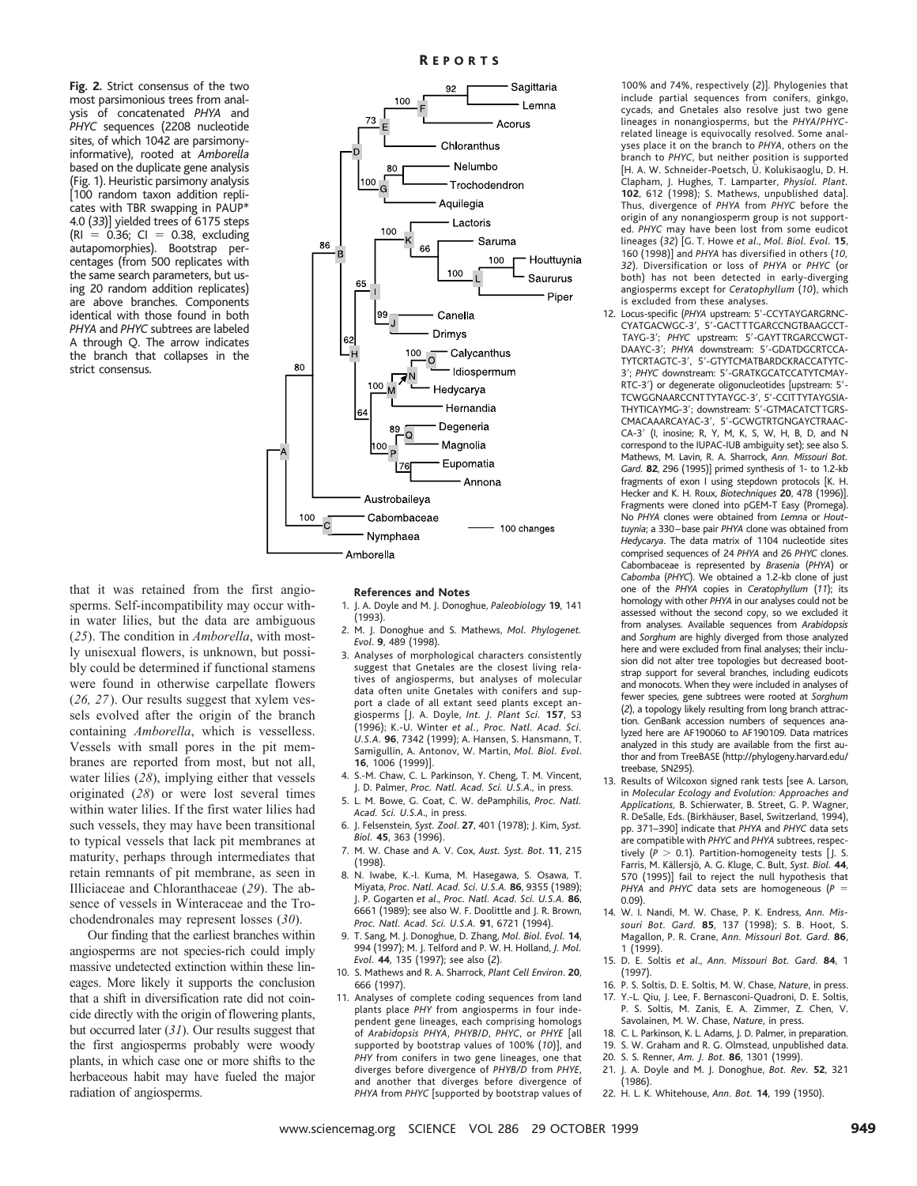**Fig. 2.** Strict consensus of the two most parsimonious trees from analysis of concatenated *PHYA* and *PHYC* sequences (2208 nucleotide sites, of which 1042 are parsimonyinformative), rooted at *Amborella* based on the duplicate gene analysis (Fig. 1). Heuristic parsimony analysis [100 random taxon addition replicates with TBR swapping in PAUP\* 4.0 (*33*)] yielded trees of 6175 steps  $(RI = 0.36; CI = 0.38, excluding$ autapomorphies). Bootstrap percentages (from 500 replicates with the same search parameters, but using 20 random addition replicates) are above branches. Components identical with those found in both *PHYA* and *PHYC* subtrees are labeled A through Q. The arrow indicates the branch that collapses in the strict consensus.



that it was retained from the first angiosperms. Self-incompatibility may occur within water lilies, but the data are ambiguous (*25*). The condition in *Amborella*, with mostly unisexual flowers, is unknown, but possibly could be determined if functional stamens were found in otherwise carpellate flowers (*26, 27*). Our results suggest that xylem vessels evolved after the origin of the branch containing *Amborella*, which is vesselless. Vessels with small pores in the pit membranes are reported from most, but not all, water lilies (*28*), implying either that vessels originated (*28*) or were lost several times within water lilies. If the first water lilies had such vessels, they may have been transitional to typical vessels that lack pit membranes at maturity, perhaps through intermediates that retain remnants of pit membrane, as seen in Illiciaceae and Chloranthaceae (*29*). The absence of vessels in Winteraceae and the Trochodendronales may represent losses (*30*).

Our finding that the earliest branches within angiosperms are not species-rich could imply massive undetected extinction within these lineages. More likely it supports the conclusion that a shift in diversification rate did not coincide directly with the origin of flowering plants, but occurred later (*31*). Our results suggest that the first angiosperms probably were woody plants, in which case one or more shifts to the herbaceous habit may have fueled the major radiation of angiosperms.

#### **References and Notes**

1. J. A. Doyle and M. J. Donoghue, *Paleobiology* **19**, 141 (1993).

- 2. M. J. Donoghue and S. Mathews, *Mol. Phylogenet. Evol*. **9**, 489 (1998).
- 3. Analyses of morphological characters consistently suggest that Gnetales are the closest living relatives of angiosperms, but analyses of molecular data often unite Gnetales with conifers and support a clade of all extant seed plants except angiosperms [ J. A. Doyle, *Int. J. Plant Sci.* **157**, S3 (1996); K.-U. Winter *et al., Proc. Natl. Acad. Sci. U.S.A.* **96**, 7342 (1999); A. Hansen, S. Hansmann, T. Samigullin, A. Antonov, W. Martin, *Mol. Biol. Evol*. **16**, 1006 (1999)].
- 4. S.-M. Chaw, C. L. Parkinson, Y. Cheng, T. M. Vincent, J. D. Palmer, *Proc. Natl. Acad. Sci. U.S.A*., in press.
- 5. L. M. Bowe, G. Coat, C. W. dePamphilis, *Proc. Natl. Acad. Sci. U.S.A*., in press.
- 6. J. Felsenstein, *Syst. Zool*. **27**, 401 (1978); J. Kim, *Syst. Biol.* **45**, 363 (1996).
- 7. M. W. Chase and A. V. Cox, *Aust. Syst. Bot*. **11**, 215 (1998).
- 8. N. Iwabe, K.-I. Kuma, M. Hasegawa, S. Osawa, T. Miyata, *Proc. Natl. Acad. Sci. U.S.A.* **86**, 9355 (1989); J. P. Gogarten *et al*., *Proc. Natl. Acad. Sci. U.S.A.* **86**, 6661 (1989); see also W. F. Doolittle and J. R. Brown, *Proc. Natl. Acad. Sci. U.S.A.* **91**, 6721 (1994).
- 9. T. Sang, M. J. Donoghue, D. Zhang, *Mol. Biol. Evol.* **14**, 994 (1997); M. J. Telford and P. W. H. Holland, *J. Mol. Evol.* **44**, 135 (1997); see also (*2*).
- 10. S. Mathews and R. A. Sharrock, *Plant Cell Environ*. **20**, 666 (1997).
- 11. Analyses of complete coding sequences from land plants place *PHY* from angiosperms in four independent gene lineages, each comprising homologs of *Arabidopsis PHYA*, *PHYB*/*D*, *PHYC*, or *PHYE* [all supported by bootstrap values of 100% (*10*)], and *PHY* from conifers in two gene lineages, one that diverges before divergence of *PHYB/D* from *PHYE*, and another that diverges before divergence of *PHYA* from *PHYC* [supported by bootstrap values of

100% and 74%, respectively (*2*)]. Phylogenies that include partial sequences from conifers, ginkgo, cycads, and Gnetales also resolve just two gene lineages in nonangiosperms, but the *PHYA*/*PHYC*related lineage is equivocally resolved. Some analyses place it on the branch to *PHYA*, others on the branch to *PHYC*, but neither position is supported [H. A. W. Schneider-Poetsch, Ü. Kolukisaoglu, D. H. Clapham, J. Hughes, T. Lamparter, *Physiol. Plant.* **102**, 612 (1998); S. Mathews, unpublished data]. Thus, divergence of *PHYA* from *PHYC* before the origin of any nonangiosperm group is not supported. *PHYC* may have been lost from some eudicot lineages (*32*) [G. T. Howe *et al*., *Mol. Biol. Evol.* **15**, 160 (1998)] and *PHYA* has diversified in others (*10, 32*). Diversification or loss of *PHYA* or *PHYC* (or both) has not been detected in early-diverging angiosperms except for *Ceratophyllum* (*10*), which is excluded from these analyses.

- 12. Locus-specific (PHYA upstream: 5'-CCYTAYGARGRNC-CYATGACWGC-3', 5'-GACTTTGARCCNGTBAAGCCT-TAYG-3'; PHYC upstream: 5'-GAYTTRGARCCWGT-DAAYC-3': PHYA downstream: 5'-GDATDGCRTCCA-TYTCRTAGTC-3', 5'-GTYTCMATBARDCKRACCATYTC-3'; PHYC downstream: 5'-GRATKGCATCCATYTCMAY-RTC-3') or degenerate oligonucleotides [upstream: 5'-TCWGGNAARCCNTTYTAYGC-3', 5'-CCITTYTAYGSIA-THYTICAYMG-3'; downstream: 5'-GTMACATCTTGRS-CMACAAARCAYAC-3', 5'-GCWGTRTGNGAYCTRAAC-CA-3' (I, inosine; R, Y, M, K, S, W, H, B, D, and N correspond to the IUPAC-IUB ambiguity set); see also S. Mathews, M. Lavin, R. A. Sharrock, *Ann. Missouri Bot. Gard.* **82**, 296 (1995)] primed synthesis of 1- to 1.2-kb fragments of exon I using stepdown protocols [K. H. Hecker and K. H. Roux, *Biotechniques* **20**, 478 (1996)]. Fragments were cloned into pGEM-T Easy (Promega). No *PHYA* clones were obtained from *Lemna* or *Houttuynia*; a 330 –base pair *PHYA* clone was obtained from *Hedycarya*. The data matrix of 1104 nucleotide sites comprised sequences of 24 *PHYA* and 26 *PHYC* clones. Cabombaceae is represented by *Brasenia* (*PHYA*) or *Cabomba* (*PHYC*). We obtained a 1.2-kb clone of just one of the *PHYA* copies in *Ceratophyllum* (*11*); its homology with other *PHYA* in our analyses could not be assessed without the second copy, so we excluded it from analyses. Available sequences from *Arabidopsis* and *Sorghum* are highly diverged from those analyzed here and were excluded from final analyses; their inclusion did not alter tree topologies but decreased bootstrap support for several branches, including eudicots and monocots. When they were included in analyses of fewer species, gene subtrees were rooted at *Sorghum* (*2*), a topology likely resulting from long branch attraction. GenBank accession numbers of sequences analyzed here are AF190060 to AF190109. Data matrices analyzed in this study are available from the first author and from TreeBASE (http://phylogeny.harvard.edu/ treebase, SN295).
- 13. Results of Wilcoxon signed rank tests [see A. Larson, in *Molecular Ecology and Evolution: Approaches and Applications,* B. Schierwater, B. Street, G. P. Wagner, R. DeSalle, Eds. (Birkhäuser, Basel, Switzerland, 1994), pp. 371–390] indicate that *PHYA* and *PHYC* data sets are compatible with *PHYC* and *PHYA* subtrees, respectively ( $P > 0.1$ ). Partition-homogeneity tests [J. S. Farris, M. Ka¨llersjo¨, A. G. Kluge, C. Bult, *Syst. Biol.* **44**, 570 (1995)] fail to reject the null hypothesis that *PHYA* and *PHYC* data sets are homogeneous (*P* 0.09).
- 14. W. I. Nandi, M. W. Chase, P. K. Endress, *Ann. Missouri Bot. Gard.* **85**, 137 (1998); S. B. Hoot, S. Magallon, P. R. Crane, *Ann. Missouri Bot. Gard.* **86**, 1 (1999).
- 15. D. E. Soltis *et al*., *Ann. Missouri Bot. Gard.* **84**, 1 (1997).
- 16. P. S. Soltis, D. E. Soltis, M. W. Chase, *Nature*, in press. 17. Y.-L. Qiu, J. Lee, F. Bernasconi-Quadroni, D. E. Soltis, P. S. Soltis, M. Zanis, E. A. Zimmer, Z. Chen, V. Savolainen, M. W. Chase, *Nature*, in press.
- 18. C. L. Parkinson, K. L. Adams, J. D. Palmer, in preparation. 19. S. W. Graham and R. G. Olmstead, unpublished data.
- 20. S. S. Renner, *Am. J. Bot.* **86**, 1301 (1999).
- 21. J. A. Doyle and M. J. Donoghue, *Bot. Rev.* **52**, 321 (1986).
- 22. H. L. K. Whitehouse, *Ann. Bot.* **14**, 199 (1950).